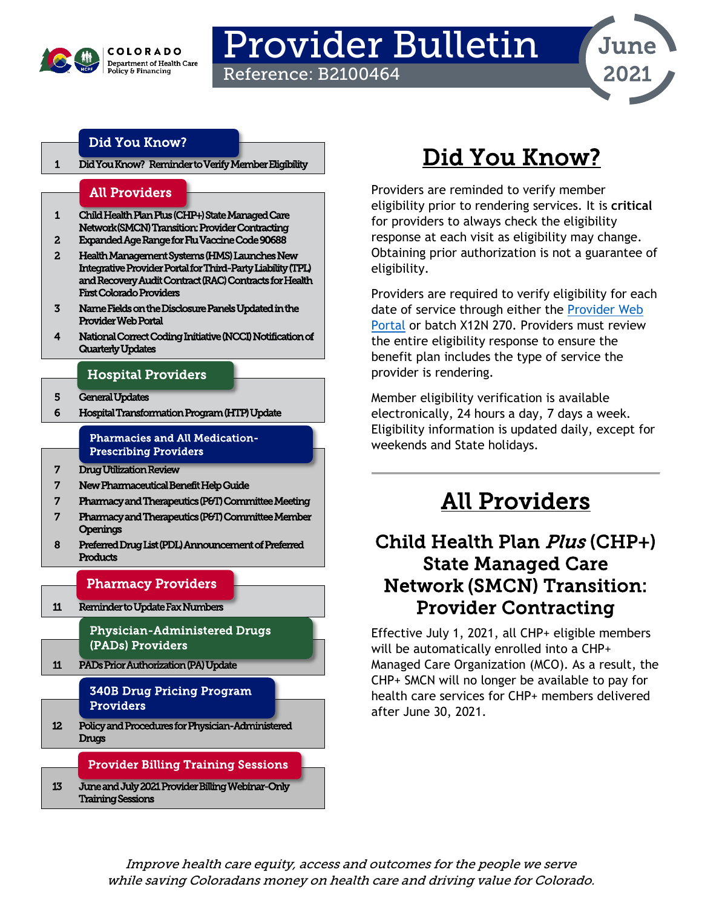

# Provider Bulletin

Reference: B2100464



### [Did You Know?](#page-0-0)

[1 Did You Know?](#page-0-0) Reminder to Verify Member Eligibility

### [All Providers](#page-0-2)

- [1 Child Health Plan Plus \(CHP+\) State Managed Care](#page-0-1)  Network [\(SMCN\) Transition: Provider Contracting](#page-0-1)
- [2 Expanded Age Range for Flu Vaccine Code 90688](#page-1-0)
- [2 Health Management Systems \(HMS\) Launches New](#page-1-1)  [Integrative Provider Portal for Third-Party Liability \(TPL\)](#page-1-1)  [and Recovery Audit Contract \(RAC\) Contracts for Health](#page-1-1)  [First Colorado Providers](#page-1-1)
- [3 Name Fields on the Disclosure Panels Updated in the](#page-2-0)  [Provider Web Portal](#page-2-0)
- [4](#page-3-0) [National Correct Coding Initiative \(NCCI\) Notification of](#page-1-1)  [Quarterly Updates](#page-1-1)

#### [Hospital Providers](#page-4-1)

- [5 General Updates](#page-4-0)
- [6 Hospital Transformation Program \(HTP\) Update](#page-5-0)

#### [Pharmacies and All Medication-](#page-6-3)[Prescribing Providers](#page-6-3)

- [7 Drug Utilization Review](#page-6-0)
- [7 New Pharmaceutical Benefit Help Guide](#page-6-1)
- [7 Pharmacy and Therapeutics \(P&T\) Committee Meeting](#page-6-1)
- [7 Pharmacy and Therapeutics \(P&T\) Committee Member](#page-6-2)  **Openings**
- [8 Preferred Drug List \(PDL\) Announcement of Preferred](#page-7-0)  **Products**

#### [Pharmacy Providers](#page-9-0)

[11 Reminder to Update Fax Numbers](#page-10-0) 

[Physician-Administered Drugs](#page-10-2)  [\(PADs\) Providers](#page-10-2) 

[11 PADs Prior Authorization \(PA\) Update](#page-10-1) 

[340B Drug Pricing Program](#page-11-1)  [Providers](#page-11-1) 

[12 Policy and Procedures for Physician-Administered](#page-11-0)  [Drugs](#page-11-0) 

#### [Provider Billing Training Sessions](#page-12-1)

[13 June and July 2021 Provider Billing Webinar-Only](#page-12-0)  [Training Sessions](#page-12-0) 

## Did You Know?

<span id="page-0-0"></span>Providers are reminded to verify member eligibility prior to rendering services. It is **critical** for providers to always check the eligibility response at each visit as eligibility may change. Obtaining prior authorization is not a guarantee of eligibility.

Providers are required to verify eligibility for each date of service through either the [Provider Web](https://colorado-hcp-portal.xco.dcs-usps.com/hcp/provider/Home/tabid/135/Default.aspx)  [Portal](https://colorado-hcp-portal.xco.dcs-usps.com/hcp/provider/Home/tabid/135/Default.aspx) or batch X12N 270. Providers must review the entire eligibility response to ensure the benefit plan includes the type of service the provider is rendering.

Member eligibility verification is available electronically, 24 hours a day, 7 days a week. Eligibility information is updated daily, except for weekends and State holidays.

## All Providers

### <span id="page-0-2"></span><span id="page-0-1"></span>Child Health Plan Plus (CHP+) State Managed Care Network **(**SMCN) Transition: Provider Contracting

Effective July 1, 2021, all CHP+ eligible members will be automatically enrolled into a CHP+ Managed Care Organization (MCO). As a result, the CHP+ SMCN will no longer be available to pay for health care services for CHP+ members delivered after June 30, 2021.

Improve health care equity, access and outcomes for the people we serve while saving Coloradans money on health care and driving value for Colorado.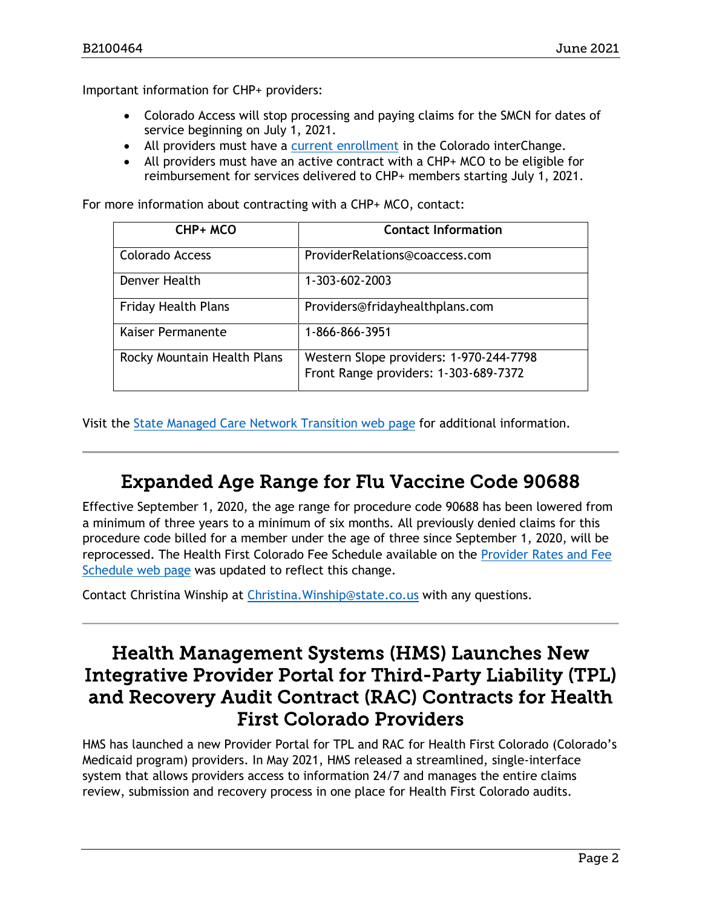Important information for CHP+ providers:

- Colorado Access will stop processing and paying claims for the SMCN for dates of service beginning on July 1, 2021.
- All providers must have a [current enrollment](https://hcpf.colorado.gov/provider-enrollment) in the Colorado interChange.
- All providers must have an active contract with a CHP+ MCO to be eligible for reimbursement for services delivered to CHP+ members starting July 1, 2021.

For more information about contracting with a CHP+ MCO, contact:

| CHP+ MCO                    | <b>Contact Information</b>                                                       |
|-----------------------------|----------------------------------------------------------------------------------|
| <b>Colorado Access</b>      | ProviderRelations@coaccess.com                                                   |
| Denver Health               | 1-303-602-2003                                                                   |
| <b>Friday Health Plans</b>  | Providers@fridayhealthplans.com                                                  |
| Kaiser Permanente           | 1-866-866-3951                                                                   |
| Rocky Mountain Health Plans | Western Slope providers: 1-970-244-7798<br>Front Range providers: 1-303-689-7372 |

Visit the [State Managed Care Network Transition web page](https://hcpf.colorado.gov/smcn-transition) for additional information.

### Expanded Age Range for Flu Vaccine Code 90688

<span id="page-1-0"></span>Effective September 1, 2020, the age range for procedure code 90688 has been lowered from a minimum of three years to a minimum of six months. All previously denied claims for this procedure code billed for a member under the age of three since September 1, 2020, will be reprocessed. The Health First Colorado Fee Schedule available on the [Provider Rates and Fee](https://hcpf.colorado.gov/provider-rates-fee-schedule)  [Schedule web page](https://hcpf.colorado.gov/provider-rates-fee-schedule) was updated to reflect this change.

Contact Christina Winship at [Christina.Winship@state.co.us](mailto:Christina.Winship@state.co.us) with any questions.

### <span id="page-1-1"></span>Health Management Systems (HMS) Launches New Integrative Provider Portal for Third-Party Liability (TPL) and Recovery Audit Contract (RAC) Contracts for Health First Colorado Providers

HMS has launched a new Provider Portal for TPL and RAC for Health First Colorado (Colorado's Medicaid program) providers. In May 2021, HMS released a streamlined, single-interface system that allows providers access to information 24/7 and manages the entire claims review, submission and recovery process in one place for Health First Colorado audits.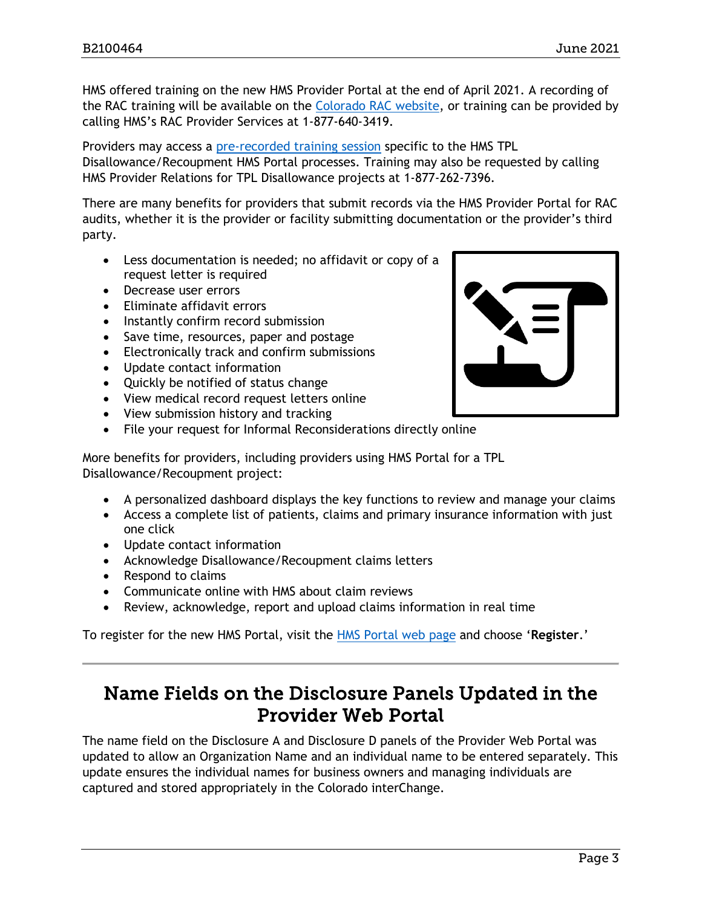HMS offered training on the new HMS Provider Portal at the end of April 2021. A recording of the RAC training will be available on the [Colorado RAC website,](https://resources.hms.com/state/colorado/rac) or training can be provided by calling HMS's RAC Provider Services at 1-877-640-3419.

Providers may access a [pre-recorded training session](https://hmsonline.webex.com/recordingservice/sites/hmsonline/recording/3af9aa39e5394a0fa62d130617de66b8/playback) specific to the HMS TPL Disallowance/Recoupment HMS Portal processes. Training may also be requested by calling HMS Provider Relations for TPL Disallowance projects at 1-877-262-7396.

There are many benefits for providers that submit records via the HMS Provider Portal for RAC audits, whether it is the provider or facility submitting documentation or the provider's third party.

- Less documentation is needed; no affidavit or copy of a request letter is required
- Decrease user errors
- Eliminate affidavit errors
- Instantly confirm record submission
- Save time, resources, paper and postage
- Electronically track and confirm submissions
- Update contact information
- Quickly be notified of status change
- View medical record request letters online
- View submission history and tracking
- File your request for Informal Reconsiderations directly online



More benefits for providers, including providers using HMS Portal for a TPL Disallowance/Recoupment project:

- A personalized dashboard displays the key functions to review and manage your claims
- Access a complete list of patients, claims and primary insurance information with just one click
- Update contact information
- Acknowledge Disallowance/Recoupment claims letters
- Respond to claims
- Communicate online with HMS about claim reviews
- Review, acknowledge, report and upload claims information in real time

To register for the new HMS Portal, visit the [HMS Portal web page](https://hmsportal.hms.com/) and choose '**Register**.'

### <span id="page-2-0"></span>Name Fields on the Disclosure Panels Updated in the Provider Web Portal

The name field on the Disclosure A and Disclosure D panels of the Provider Web Portal was updated to allow an Organization Name and an individual name to be entered separately. This update ensures the individual names for business owners and managing individuals are captured and stored appropriately in the Colorado interChange.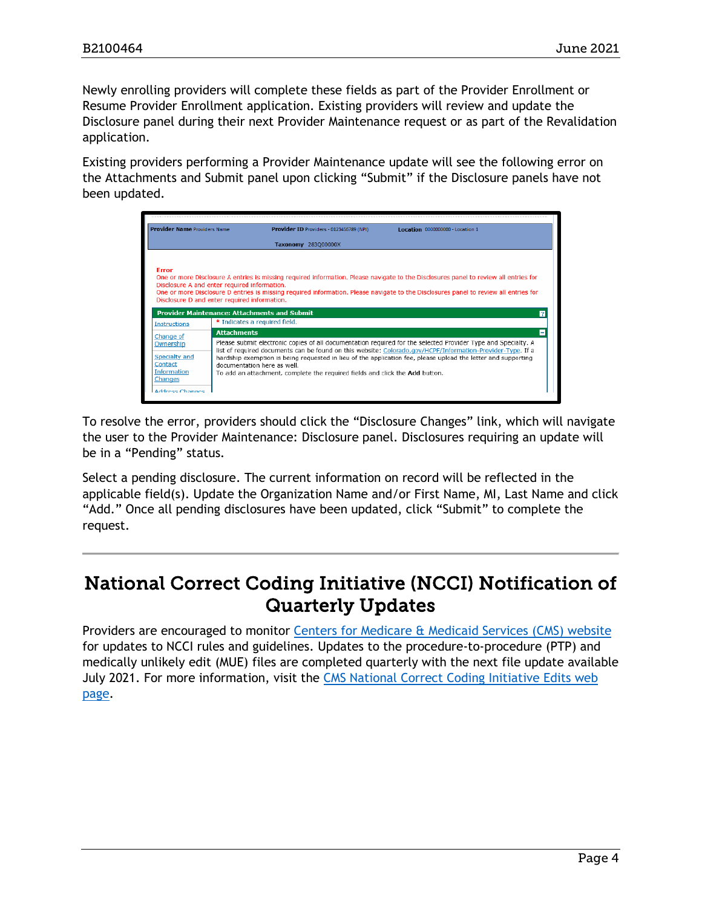Newly enrolling providers will complete these fields as part of the Provider Enrollment or Resume Provider Enrollment application. Existing providers will review and update the Disclosure panel during their next Provider Maintenance request or as part of the Revalidation application.

Existing providers performing a Provider Maintenance update will see the following error on the Attachments and Submit panel upon clicking "Submit" if the Disclosure panels have not been updated.



To resolve the error, providers should click the "Disclosure Changes" link, which will navigate the user to the Provider Maintenance: Disclosure panel. Disclosures requiring an update will be in a "Pending" status.

Select a pending disclosure. The current information on record will be reflected in the applicable field(s). Update the Organization Name and/or First Name, MI, Last Name and click "Add." Once all pending disclosures have been updated, click "Submit" to complete the request.

### <span id="page-3-0"></span>National Correct Coding Initiative (NCCI) Notification of Quarterly Updates

Providers are encouraged to monitor [Centers for Medicare & Medicaid Services \(CMS\) website](https://www.cms.gov/)  for updates to NCCI rules and guidelines. Updates to the procedure-to-procedure (PTP) and medically unlikely edit (MUE) files are completed quarterly with the next file update available July 2021. For more information, visit the [CMS National Correct Coding Initiative](https://www.cms.gov/Medicare/Coding/NationalCorrectCodInitEd/index.html) Edits web [page.](https://www.cms.gov/Medicare/Coding/NationalCorrectCodInitEd/index.html)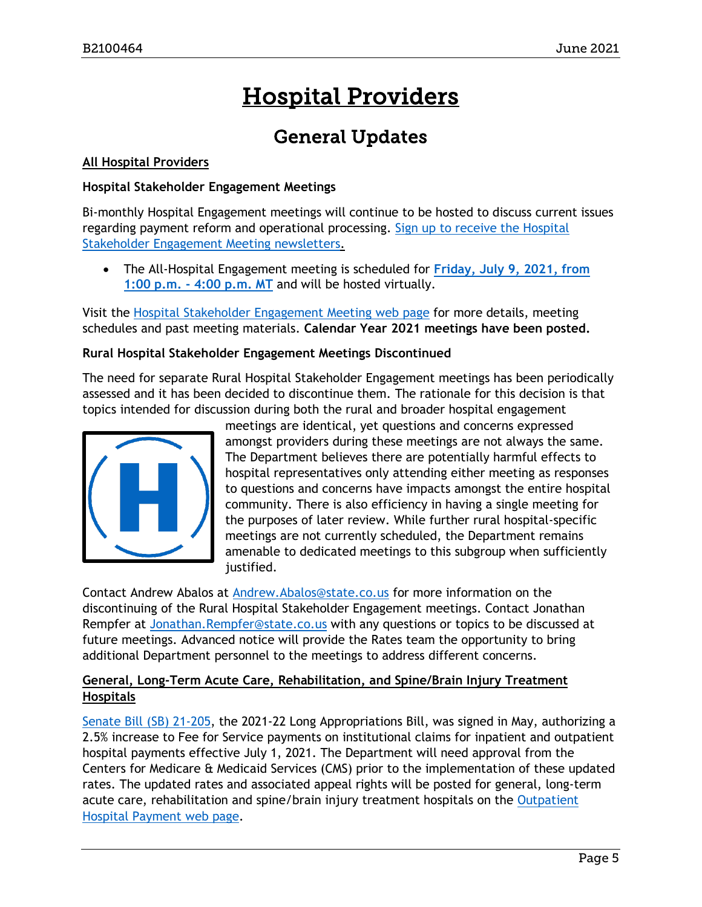## Hospital Providers

### General Updates

#### <span id="page-4-1"></span><span id="page-4-0"></span>**All Hospital Providers**

#### **Hospital Stakeholder Engagement Meetings**

Bi-monthly Hospital Engagement meetings will continue to be hosted to discuss current issues regarding payment reform and operational processing. [Sign up to receive the Hospital](https://visitor.r20.constantcontact.com/manage/optin?v=001HfxrbpGNWZ0lZnPp6t3PG2s9XPNl8ZvgFdjsKvSnhIy8z9JmHyp6DeoLJ3saT6x0SeqRR1ub149uoXxe1ok4jTzfMSQ0BN7S5vcLiRO7gdY%3D)  [Stakeholder Engagement Meeting newsletters.](https://visitor.r20.constantcontact.com/manage/optin?v=001HfxrbpGNWZ0lZnPp6t3PG2s9XPNl8ZvgFdjsKvSnhIy8z9JmHyp6DeoLJ3saT6x0SeqRR1ub149uoXxe1ok4jTzfMSQ0BN7S5vcLiRO7gdY%3D)

• The All-Hospital Engagement meeting is scheduled for **[Friday, July 9, 2021, from](https://hcpf.colorado.gov/hospital-stakeholder-engagement-meetings)  1:00 p.m. - [4:00 p.m. MT](https://hcpf.colorado.gov/hospital-stakeholder-engagement-meetings)** and will be hosted virtually.

Visit the [Hospital Stakeholder Engagement Meeting web page](https://hcpf.colorado.gov/hospital-stakeholder-engagement-meetings) for more details, meeting schedules and past meeting materials. **Calendar Year 2021 meetings have been posted.**

#### **Rural Hospital Stakeholder Engagement Meetings Discontinued**

The need for separate Rural Hospital Stakeholder Engagement meetings has been periodically assessed and it has been decided to discontinue them. The rationale for this decision is that topics intended for discussion during both the rural and broader hospital engagement



meetings are identical, yet questions and concerns expressed amongst providers during these meetings are not always the same. The Department believes there are potentially harmful effects to hospital representatives only attending either meeting as responses to questions and concerns have impacts amongst the entire hospital community. There is also efficiency in having a single meeting for the purposes of later review. While further rural hospital-specific meetings are not currently scheduled, the Department remains amenable to dedicated meetings to this subgroup when sufficiently justified.

Contact Andrew Abalos at [Andrew.Abalos@state.co.us](mailto:Andrew.Abalos@state.co.us) for more information on the discontinuing of the Rural Hospital Stakeholder Engagement meetings. Contact Jonathan Rempfer at [Jonathan.Rempfer@state.co.us](mailto:Jonathan.Rempfer@state.co.us) with any questions or topics to be discussed at future meetings. Advanced notice will provide the Rates team the opportunity to bring additional Department personnel to the meetings to address different concerns.

#### **General, Long-Term Acute Care, Rehabilitation, and Spine/Brain Injury Treatment Hospitals**

[Senate Bill \(SB\) 21-205,](https://leg.colorado.gov/sites/default/files/documents/2021A/bills/2021a_205_act.pdf) the 2021-22 Long Appropriations Bill, was signed in May, authorizing a 2.5% increase to Fee for Service payments on institutional claims for inpatient and outpatient hospital payments effective July 1, 2021. The Department will need approval from the Centers for Medicare & Medicaid Services (CMS) prior to the implementation of these updated rates. The updated rates and associated appeal rights will be posted for general, long-term acute care, rehabilitation and spine/brain injury treatment hospitals on the [Outpatient](https://hcpf.colorado.gov/outpatient-hospital-payment)  [Hospital Payment web page.](https://hcpf.colorado.gov/outpatient-hospital-payment)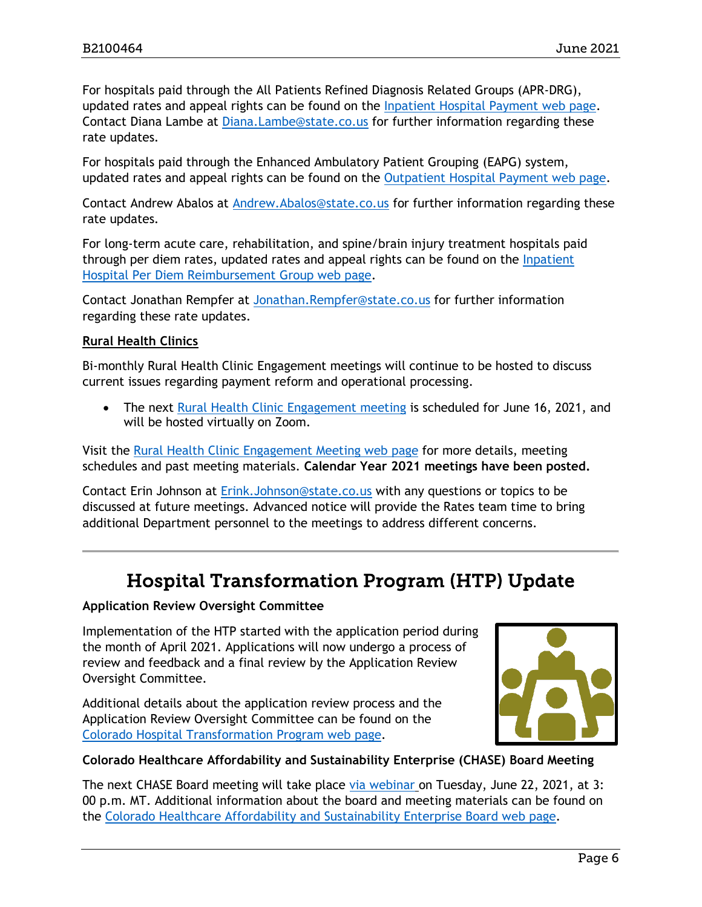For hospitals paid through the All Patients Refined Diagnosis Related Groups (APR-DRG), updated rates and appeal rights can be found on the [Inpatient Hospital Payment web page.](https://hcpf.colorado.gov/inpatient-hospital-payment) Contact Diana Lambe at [Diana.Lambe@state.co.us](mailto:Diana.Lambe@state.co.us) for further information regarding these rate updates.

For hospitals paid through the Enhanced Ambulatory Patient Grouping (EAPG) system, updated rates and appeal rights can be found on the [Outpatient Hospital Payment web page.](https://hcpf.colorado.gov/outpatient-hospital-payment)

Contact Andrew Abalos at [Andrew.Abalos@state.co.us](mailto:Andrew.Abalos@state.co.us) for further information regarding these rate updates.

For long-term acute care, rehabilitation, and spine/brain injury treatment hospitals paid through per diem rates, updated rates and appeal rights can be found on the [Inpatient](https://hcpf.colorado.gov/inpatient-hospital-diem-reimbursement-group)  [Hospital Per Diem Reimbursement Group web page.](https://hcpf.colorado.gov/inpatient-hospital-diem-reimbursement-group)

Contact Jonathan Rempfer at [Jonathan.Rempfer@state.co.us](mailto:Jonathan.Rempfer@state.co.us) for further information regarding these rate updates.

#### **Rural Health Clinics**

Bi-monthly Rural Health Clinic Engagement meetings will continue to be hosted to discuss current issues regarding payment reform and operational processing.

• The next [Rural Health Clinic Engagement meeting](https://hcpf.colorado.gov/rural-hospital-and-rural-health-clinics) is scheduled for June 16, 2021, and will be hosted virtually on Zoom.

Visit the [Rural Health Clinic Engagement Meeting web page](https://hcpf.colorado.gov/rural-hospital-and-rural-health-clinics) for more details, meeting schedules and past meeting materials. **Calendar Year 2021 meetings have been posted.**

Contact Erin Johnson at [Erink.Johnson@state.co.us](mailto:Erink.Johnson@state.co.us) with any questions or topics to be discussed at future meetings. Advanced notice will provide the Rates team time to bring additional Department personnel to the meetings to address different concerns.

### Hospital Transformation Program (HTP) Update

#### <span id="page-5-0"></span>**Application Review Oversight Committee**

Implementation of the HTP started with the application period during the month of April 2021. Applications will now undergo a process of review and feedback and a final review by the Application Review Oversight Committee.

Additional details about the application review process and the Application Review Oversight Committee can be found on the [Colorado Hospital Transformation Program web page.](https://hcpf.colorado.gov/colorado-hospital-transformation-program)



#### **Colorado Healthcare Affordability and Sustainability Enterprise (CHASE) Board Meeting**

The next CHASE Board meeting will take place [via webinar](https://cohcpf.adobeconnect.com/chase/) on Tuesday, June 22, 2021, at 3: 00 p.m. MT. Additional information about the board and meeting materials can be found on the [Colorado Healthcare Affordability and Sustainability Enterprise Board web page.](https://hcpf.colorado.gov/colorado-healthcare-affordability-and-sustainability-enterprise-chase-board)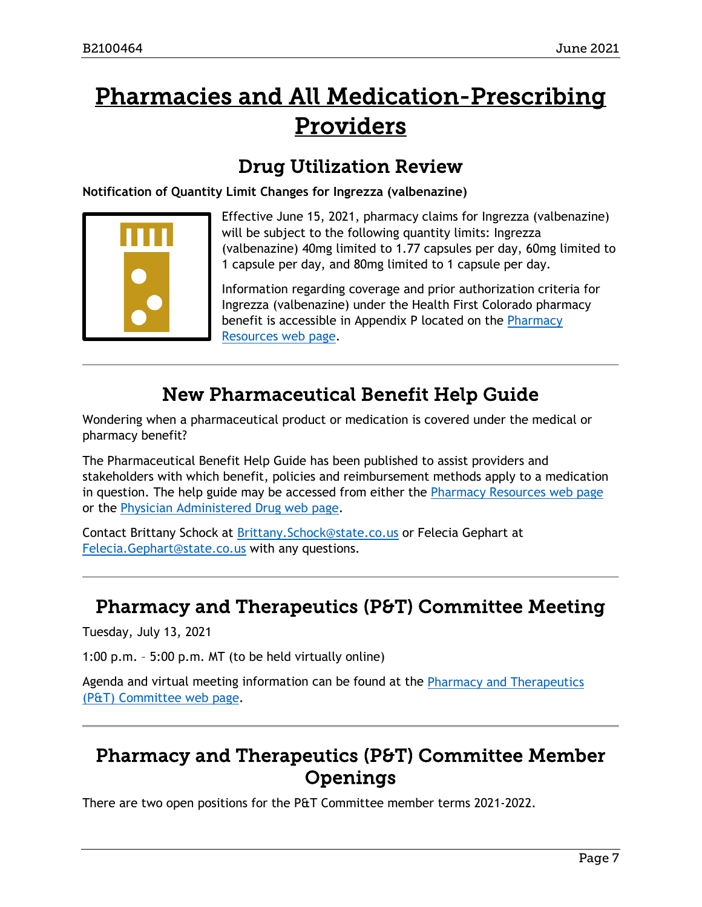## <span id="page-6-3"></span>Pharmacies and All Medication-Prescribing Providers

### Drug Utilization Review

<span id="page-6-0"></span>**Notification of Quantity Limit Changes for Ingrezza (valbenazine)**



Effective June 15, 2021, pharmacy claims for Ingrezza (valbenazine) will be subject to the following quantity limits: Ingrezza (valbenazine) 40mg limited to 1.77 capsules per day, 60mg limited to 1 capsule per day, and 80mg limited to 1 capsule per day.

Information regarding coverage and prior authorization criteria for Ingrezza (valbenazine) under the Health First Colorado pharmacy benefit is accessible in Appendix P located on the Pharmacy [Resources web page.](https://hcpf.colorado.gov/pharmacy-resources)

### New Pharmaceutical Benefit Help Guide

<span id="page-6-1"></span>Wondering when a pharmaceutical product or medication is covered under the medical or pharmacy benefit?

The Pharmaceutical Benefit Help Guide has been published to assist providers and stakeholders with which benefit, policies and reimbursement methods apply to a medication in question. The help guide may be accessed from either the [Pharmacy Resources web page](https://hcpf.colorado.gov/pharmacy-resources) or the [Physician Administered Drug web page.](https://hcpf.colorado.gov/physician-administered-drugs)

Contact Brittany Schock at Brittany. Schock@state.co.us or Felecia Gephart at [Felecia.Gephart@state.co.us](mailto:Felecia.Gephart@state.co.us) with any questions.

### Pharmacy and Therapeutics (P&T) Committee Meeting

Tuesday, July 13, 2021

1:00 p.m. – 5:00 p.m. MT (to be held virtually online)

Agenda and virtual meeting information can be found at the [Pharmacy and Therapeutics](https://hcpf.colorado.gov/pharmacy-and-therapeutics-committee)  [\(P&T\) Committee web page.](https://hcpf.colorado.gov/pharmacy-and-therapeutics-committee)

### <span id="page-6-2"></span>Pharmacy and Therapeutics (P&T) Committee Member Openings

There are two open positions for the P&T Committee member terms 2021-2022.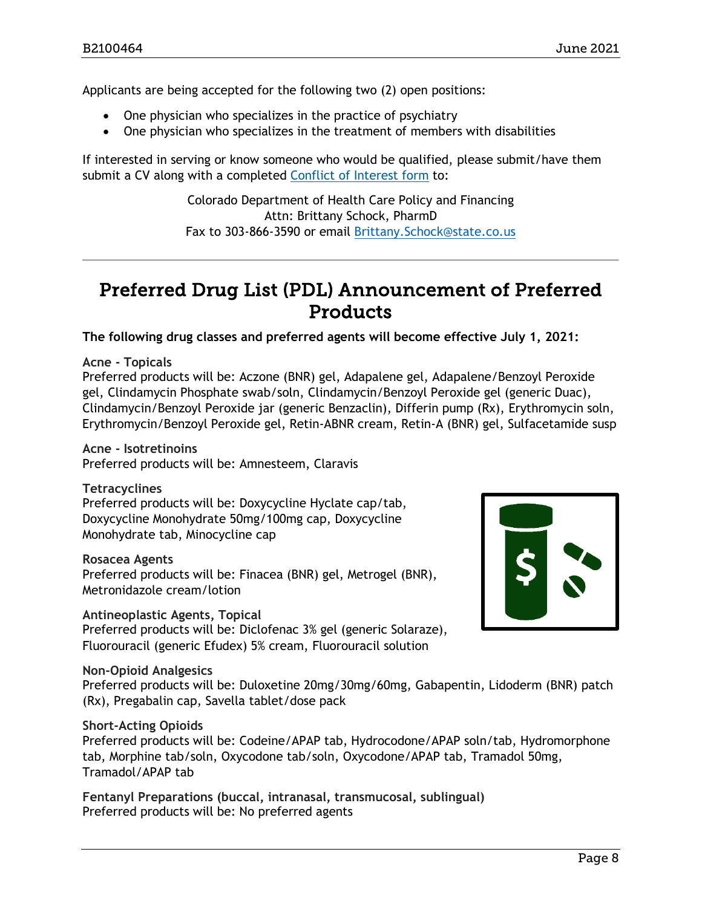Applicants are being accepted for the following two (2) open positions:

- One physician who specializes in the practice of psychiatry
- One physician who specializes in the treatment of members with disabilities

If interested in serving or know someone who would be qualified, please submit/have them submit a CV along with a completed [Conflict of Interest form](https://www.colorado.gov/pacific/sites/default/files/PT%20Conflict%20of%20interest%20form%20Sept19.pdf) to:

> Colorado Department of Health Care Policy and Financing Attn: Brittany Schock, PharmD Fax to 303-866-3590 or email [Brittany.Schock@state.co.us](mailto:Brittany.Schock@state.co.us)

### <span id="page-7-0"></span>Preferred Drug List (PDL) Announcement of Preferred Products

**The following drug classes and preferred agents will become effective July 1, 2021:**

**Acne - Topicals**

Preferred products will be: Aczone (BNR) gel, Adapalene gel, Adapalene/Benzoyl Peroxide gel, Clindamycin Phosphate swab/soln, Clindamycin/Benzoyl Peroxide gel (generic Duac), Clindamycin/Benzoyl Peroxide jar (generic Benzaclin), Differin pump (Rx), Erythromycin soln, Erythromycin/Benzoyl Peroxide gel, Retin-ABNR cream, Retin-A (BNR) gel, Sulfacetamide susp

**Acne - Isotretinoins** Preferred products will be: Amnesteem, Claravis

**Tetracyclines** Preferred products will be: Doxycycline Hyclate cap/tab, Doxycycline Monohydrate 50mg/100mg cap, Doxycycline Monohydrate tab, Minocycline cap

**Rosacea Agents** Preferred products will be: Finacea (BNR) gel, Metrogel (BNR), Metronidazole cream/lotion

**Antineoplastic Agents, Topical** Preferred products will be: Diclofenac 3% gel (generic Solaraze), Fluorouracil (generic Efudex) 5% cream, Fluorouracil solution



**Non-Opioid Analgesics**

Preferred products will be: Duloxetine 20mg/30mg/60mg, Gabapentin, Lidoderm (BNR) patch (Rx), Pregabalin cap, Savella tablet/dose pack

#### **Short-Acting Opioids**

Preferred products will be: Codeine/APAP tab, Hydrocodone/APAP soln/tab, Hydromorphone tab, Morphine tab/soln, Oxycodone tab/soln, Oxycodone/APAP tab, Tramadol 50mg, Tramadol/APAP tab

**Fentanyl Preparations (buccal, intranasal, transmucosal, sublingual)** Preferred products will be: No preferred agents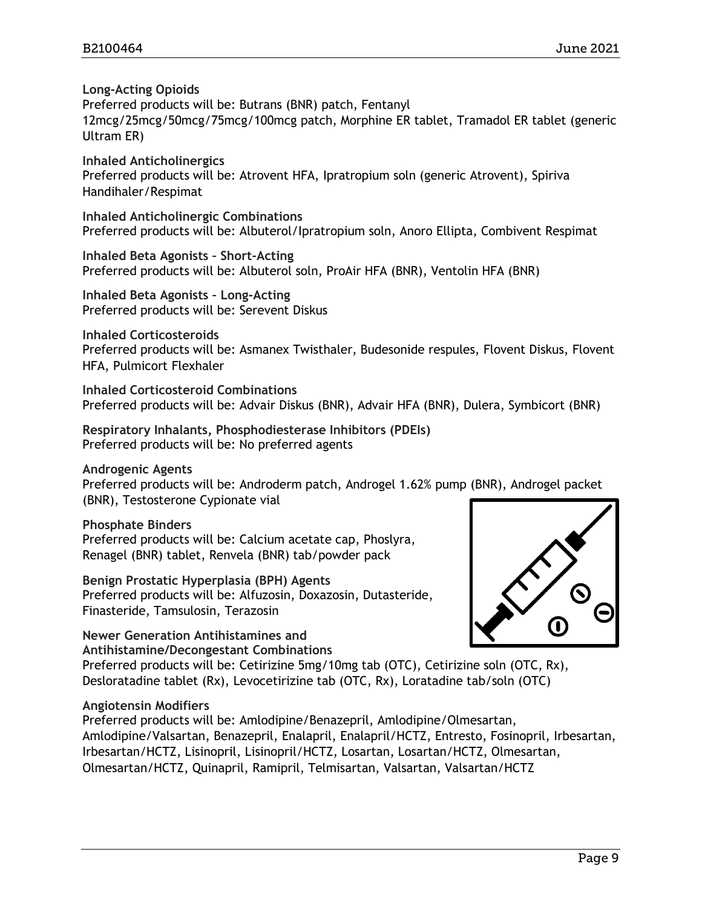**Long-Acting Opioids**

Preferred products will be: Butrans (BNR) patch, Fentanyl

12mcg/25mcg/50mcg/75mcg/100mcg patch, Morphine ER tablet, Tramadol ER tablet (generic Ultram ER)

**Inhaled Anticholinergics** Preferred products will be: Atrovent HFA, Ipratropium soln (generic Atrovent), Spiriva Handihaler/Respimat

**Inhaled Anticholinergic Combinations** Preferred products will be: Albuterol/Ipratropium soln, Anoro Ellipta, Combivent Respimat

**Inhaled Beta Agonists – Short-Acting** Preferred products will be: Albuterol soln, ProAir HFA (BNR), Ventolin HFA (BNR)

**Inhaled Beta Agonists – Long-Acting** Preferred products will be: Serevent Diskus

**Inhaled Corticosteroids** Preferred products will be: Asmanex Twisthaler, Budesonide respules, Flovent Diskus, Flovent HFA, Pulmicort Flexhaler

**Inhaled Corticosteroid Combinations** Preferred products will be: Advair Diskus (BNR), Advair HFA (BNR), Dulera, Symbicort (BNR)

**Respiratory Inhalants, Phosphodiesterase Inhibitors (PDEIs)** Preferred products will be: No preferred agents

**Androgenic Agents** Preferred products will be: Androderm patch, Androgel 1.62% pump (BNR), Androgel packet (BNR), Testosterone Cypionate vial

**Phosphate Binders** Preferred products will be: Calcium acetate cap, Phoslyra, Renagel (BNR) tablet, Renvela (BNR) tab/powder pack

**Benign Prostatic Hyperplasia (BPH) Agents** Preferred products will be: Alfuzosin, Doxazosin, Dutasteride, Finasteride, Tamsulosin, Terazosin



**Newer Generation Antihistamines and Antihistamine/Decongestant Combinations** Preferred products will be: Cetirizine 5mg/10mg tab (OTC), Cetirizine soln (OTC, Rx), Desloratadine tablet (Rx), Levocetirizine tab (OTC, Rx), Loratadine tab/soln (OTC)

#### **Angiotensin Modifiers**

Preferred products will be: Amlodipine/Benazepril, Amlodipine/Olmesartan, Amlodipine/Valsartan, Benazepril, Enalapril, Enalapril/HCTZ, Entresto, Fosinopril, Irbesartan, Irbesartan/HCTZ, Lisinopril, Lisinopril/HCTZ, Losartan, Losartan/HCTZ, Olmesartan, Olmesartan/HCTZ, Quinapril, Ramipril, Telmisartan, Valsartan, Valsartan/HCTZ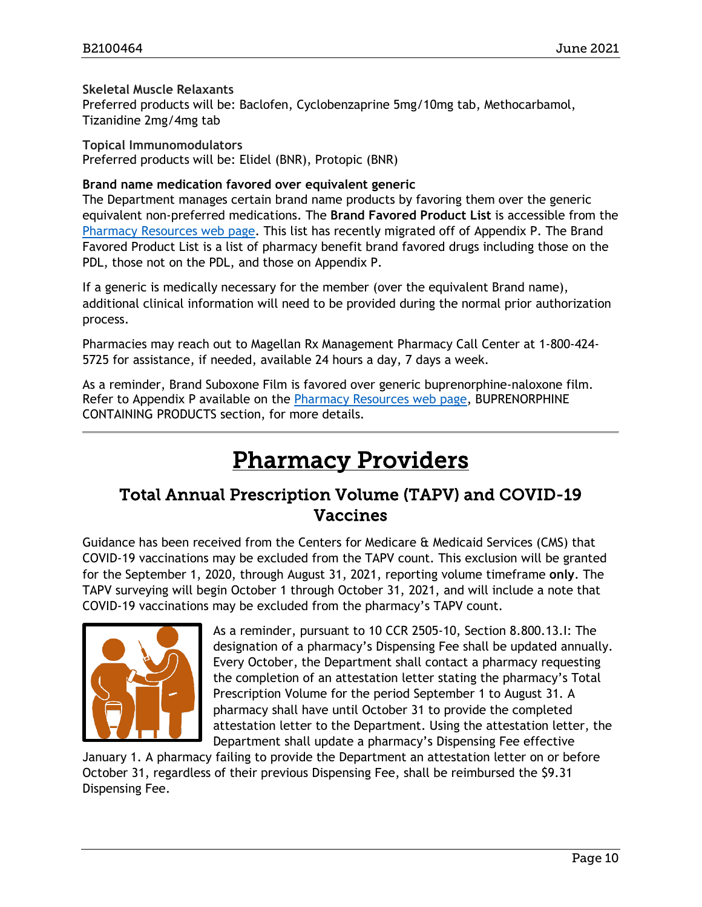#### **Skeletal Muscle Relaxants**

Preferred products will be: Baclofen, Cyclobenzaprine 5mg/10mg tab, Methocarbamol, Tizanidine 2mg/4mg tab

**Topical Immunomodulators** Preferred products will be: Elidel (BNR), Protopic (BNR)

#### **Brand name medication favored over equivalent generic**

The Department manages certain brand name products by favoring them over the generic equivalent non-preferred medications. The **Brand Favored Product List** is accessible from the [Pharmacy Resources web page.](https://hcpf.colorado.gov/pharmacy-resources) This list has recently migrated off of Appendix P. The Brand Favored Product List is a list of pharmacy benefit brand favored drugs including those on the PDL, those not on the PDL, and those on Appendix P.

If a generic is medically necessary for the member (over the equivalent Brand name), additional clinical information will need to be provided during the normal prior authorization process.

Pharmacies may reach out to Magellan Rx Management Pharmacy Call Center at 1-800-424- 5725 for assistance, if needed, available 24 hours a day, 7 days a week.

As a reminder, Brand Suboxone Film is favored over generic buprenorphine-naloxone film. Refer to Appendix P available on the [Pharmacy Resources web page,](https://hcpf.colorado.gov/pharmacy-resources) BUPRENORPHINE CONTAINING PRODUCTS section, for more details.

## Pharmacy Providers

### <span id="page-9-0"></span>Total Annual Prescription Volume (TAPV) and COVID-19 Vaccines

Guidance has been received from the Centers for Medicare & Medicaid Services (CMS) that COVID-19 vaccinations may be excluded from the TAPV count. This exclusion will be granted for the September 1, 2020, through August 31, 2021, reporting volume timeframe **only**. The TAPV surveying will begin October 1 through October 31, 2021, and will include a note that COVID-19 vaccinations may be excluded from the pharmacy's TAPV count.



As a reminder, pursuant to 10 CCR 2505-10, Section 8.800.13.I: The designation of a pharmacy's Dispensing Fee shall be updated annually. Every October, the Department shall contact a pharmacy requesting the completion of an attestation letter stating the pharmacy's Total Prescription Volume for the period September 1 to August 31. A pharmacy shall have until October 31 to provide the completed attestation letter to the Department. Using the attestation letter, the Department shall update a pharmacy's Dispensing Fee effective

January 1. A pharmacy failing to provide the Department an attestation letter on or before October 31, regardless of their previous Dispensing Fee, shall be reimbursed the \$9.31 Dispensing Fee.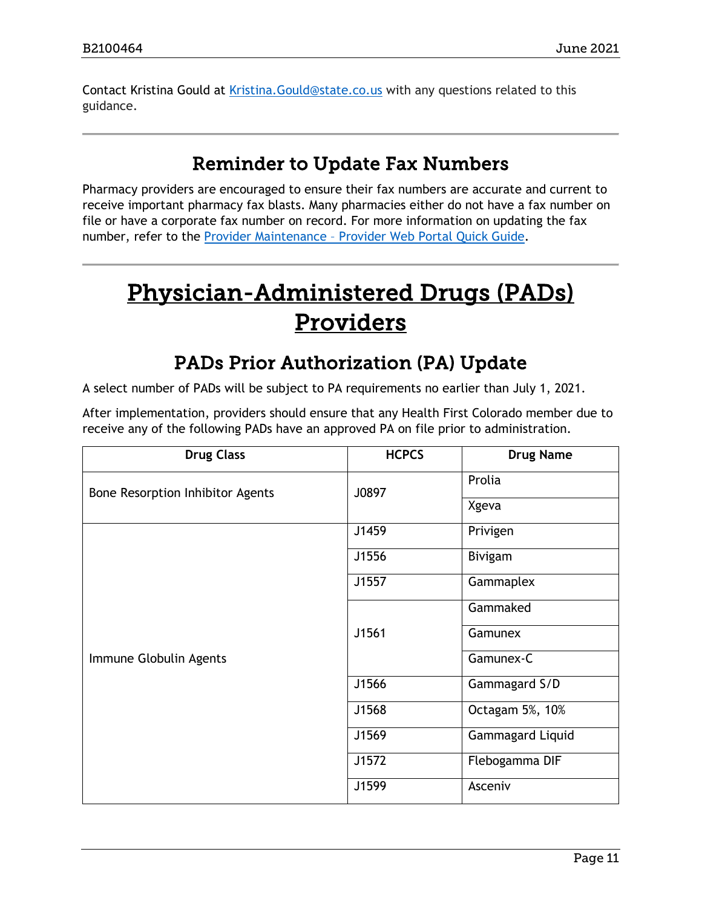Contact Kristina Gould at [Kristina.Gould@state.co.us](mailto:Kristina.Gould@state.co.us) with any questions related to this guidance.

### Reminder to Update Fax Numbers

<span id="page-10-0"></span>Pharmacy providers are encouraged to ensure their fax numbers are accurate and current to receive important pharmacy fax blasts. Many pharmacies either do not have a fax number on file or have a corporate fax number on record. For more information on updating the fax number, refer to the Provider Maintenance – [Provider Web Portal Quick Guide.](https://hcpf.colorado.gov/prov-maintenance)

## <span id="page-10-2"></span>Physician-Administered Drugs (PADs) Providers

### PADs Prior Authorization (PA) Update

<span id="page-10-1"></span>A select number of PADs will be subject to PA requirements no earlier than July 1, 2021.

After implementation, providers should ensure that any Health First Colorado member due to receive any of the following PADs have an approved PA on file prior to administration.

| <b>Drug Class</b>                | <b>HCPCS</b> | <b>Drug Name</b>        |  |
|----------------------------------|--------------|-------------------------|--|
| Bone Resorption Inhibitor Agents | J0897        | Prolia                  |  |
|                                  |              | Xgeva                   |  |
|                                  | J1459        | Privigen                |  |
|                                  | J1556        | Bivigam                 |  |
|                                  | J1557        | Gammaplex               |  |
|                                  |              | Gammaked                |  |
|                                  | J1561        | Gamunex                 |  |
| Immune Globulin Agents           |              | Gamunex-C               |  |
|                                  | J1566        | Gammagard S/D           |  |
|                                  | J1568        | Octagam 5%, 10%         |  |
|                                  | J1569        | <b>Gammagard Liquid</b> |  |
|                                  | J1572        | Flebogamma DIF          |  |
|                                  | J1599        | Asceniv                 |  |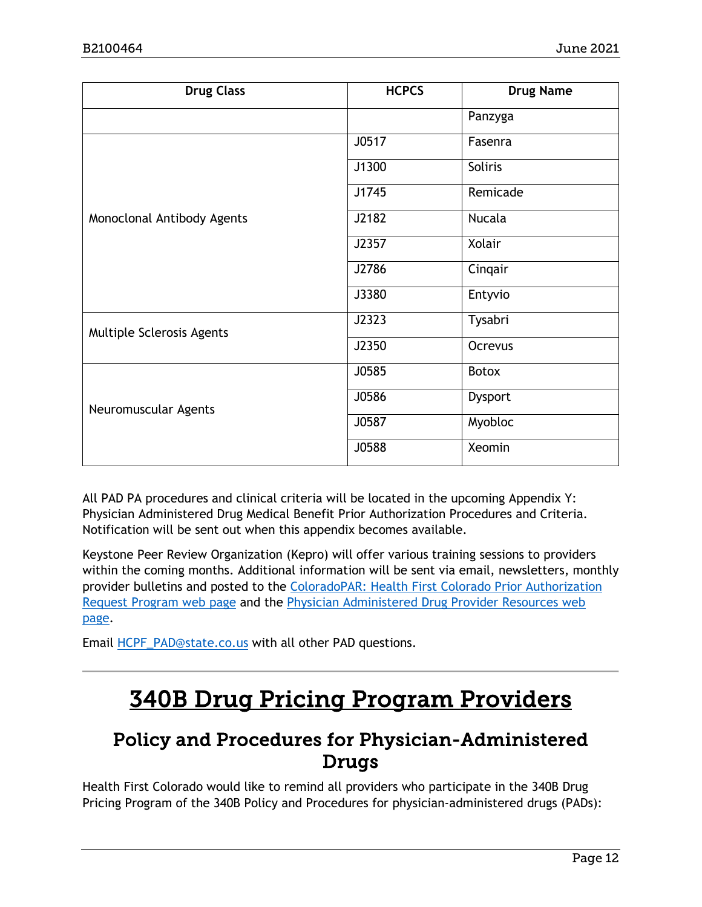| <b>Drug Class</b>          | <b>HCPCS</b> | <b>Drug Name</b> |
|----------------------------|--------------|------------------|
|                            |              | Panzyga          |
|                            | J0517        | Fasenra          |
|                            | J1300        | Soliris          |
|                            | J1745        | Remicade         |
| Monoclonal Antibody Agents | J2182        | Nucala           |
|                            | J2357        | Xolair           |
|                            | J2786        | Cinqair          |
|                            | J3380        | Entyvio          |
| Multiple Sclerosis Agents  | J2323        | Tysabri          |
|                            | J2350        | Ocrevus          |
|                            | J0585        | Botox            |
| Neuromuscular Agents       | J0586        | Dysport          |
|                            | J0587        | Myobloc          |
|                            | J0588        | Xeomin           |

All PAD PA procedures and clinical criteria will be located in the upcoming Appendix Y: Physician Administered Drug Medical Benefit Prior Authorization Procedures and Criteria. Notification will be sent out when this appendix becomes available.

Keystone Peer Review Organization (Kepro) will offer various training sessions to providers within the coming months. Additional information will be sent via email, newsletters, monthly provider bulletins and posted to the [ColoradoPAR: Health First Colorado Prior Authorization](https://www.colorado.gov/hcpf/par)  [Request Program web page](https://www.colorado.gov/hcpf/par) and the [Physician Administered Drug Provider Resources web](https://www.colorado.gov/pacific/hcpf/physician-administered-drugs)  [page.](https://www.colorado.gov/pacific/hcpf/physician-administered-drugs)

Email [HCPF\\_PAD@state.co.us](mailto:HCPF_PAD@state.co.us) with all other PAD questions.

## <span id="page-11-1"></span>340B Drug Pricing Program Providers

### <span id="page-11-0"></span>Policy and Procedures for Physician-Administered Drugs

Health First Colorado would like to remind all providers who participate in the 340B Drug Pricing Program of the 340B Policy and Procedures for physician-administered drugs (PADs):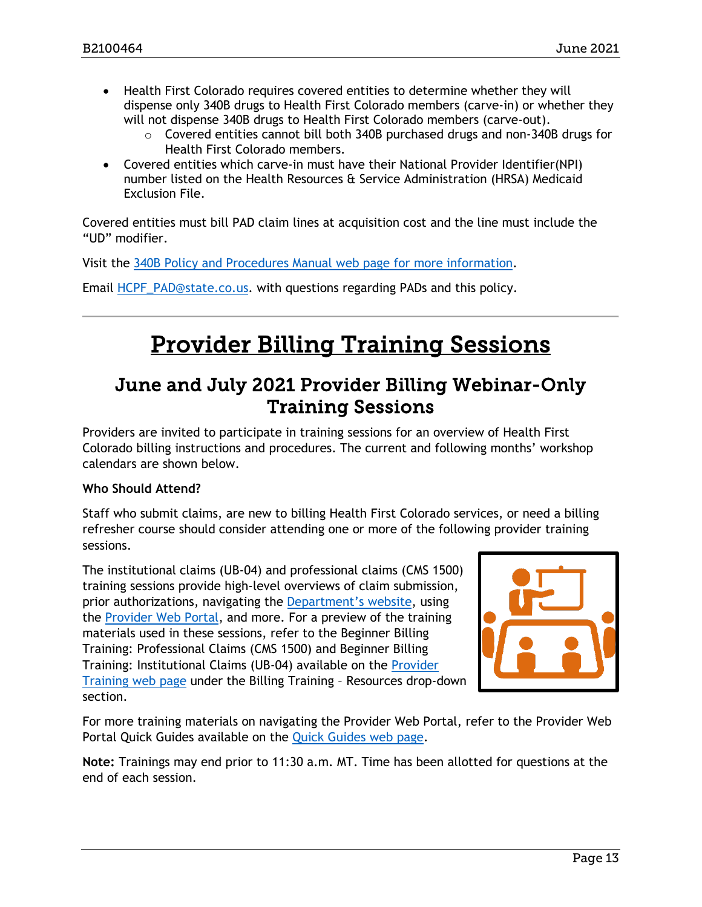- Health First Colorado requires covered entities to determine whether they will dispense only 340B drugs to Health First Colorado members (carve-in) or whether they will not dispense 340B drugs to Health First Colorado members (carve-out).
	- $\circ$  Covered entities cannot bill both 340B purchased drugs and non-340B drugs for Health First Colorado members.
- Covered entities which carve-in must have their National Provider Identifier(NPI) number listed on the Health Resources & Service Administration (HRSA) Medicaid Exclusion File.

Covered entities must bill PAD claim lines at acquisition cost and the line must include the "UD" modifier.

Visit the [340B Policy and Procedures Manual web page](https://hcpf.colorado.gov/340b-manual) for more information.

<span id="page-12-1"></span>Email [HCPF\\_PAD@state.co.us.](mailto:HCPF_PAD@state.co.us) with questions regarding PADs and this policy.

## Provider Billing Training Sessions

### <span id="page-12-0"></span>June and July 2021 Provider Billing Webinar-Only Training Sessions

Providers are invited to participate in training sessions for an overview of Health First Colorado billing instructions and procedures. The current and following months' workshop calendars are shown below.

#### **Who Should Attend?**

Staff who submit claims, are new to billing Health First Colorado services, or need a billing refresher course should consider attending one or more of the following provider training sessions.

The institutional claims (UB-04) and professional claims (CMS 1500) training sessions provide high-level overviews of claim submission, prior authorizations, navigating the [Department's website,](https://www.colorado.gov/hcpf/) using the [Provider Web Portal,](https://colorado-hcp-portal.xco.dcs-usps.com/hcp/provider/Home/tabid/135/Default.aspx) and more. For a preview of the training materials used in these sessions, refer to the Beginner Billing Training: Professional Claims (CMS 1500) and Beginner Billing Training: Institutional Claims (UB-04) available on the [Provider](https://www.colorado.gov/pacific/hcpf/provider-training)  [Training web page](https://www.colorado.gov/pacific/hcpf/provider-training) under the Billing Training – Resources drop-down section.



For more training materials on navigating the Provider Web Portal, refer to the Provider Web Portal Quick Guides available on the [Quick Guides web page.](https://www.colorado.gov/hcpf/interchange-resources)

**Note:** Trainings may end prior to 11:30 a.m. MT. Time has been allotted for questions at the end of each session.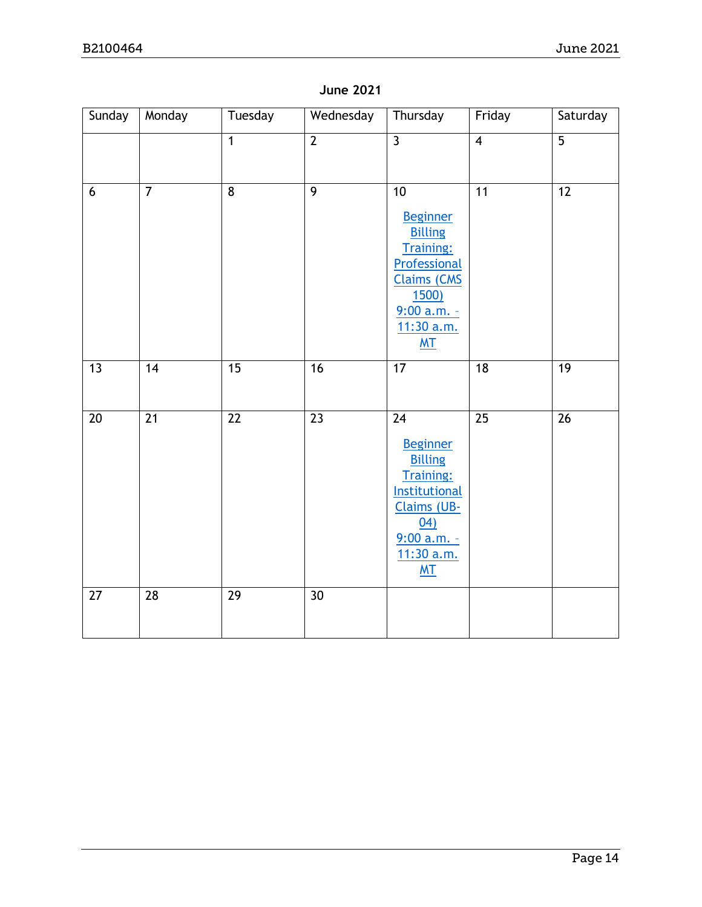#### **June 2021**

| Sunday          | Monday          | Tuesday         | Wednesday       | Thursday                                                                                                                                                                | Friday                  | Saturday        |
|-----------------|-----------------|-----------------|-----------------|-------------------------------------------------------------------------------------------------------------------------------------------------------------------------|-------------------------|-----------------|
|                 |                 | $\mathbf{1}$    | $\overline{2}$  | $\overline{3}$                                                                                                                                                          | $\overline{\mathbf{4}}$ | $\overline{5}$  |
| 6               | $\overline{7}$  | $\overline{8}$  | $\overline{9}$  | 10<br><b>Beginner</b><br><b>Billing</b><br><b>Training:</b><br>Professional<br><b>Claims (CMS</b><br><u>1500)</u><br>$9:00 a.m. -$<br>11:30 a.m.<br>MT                  | $\overline{11}$         | $\overline{12}$ |
| $\overline{13}$ | 14              | 15              | 16              | 17                                                                                                                                                                      | 18                      | 19              |
| $\overline{20}$ | $\overline{21}$ | $\overline{22}$ | $\overline{23}$ | $\overline{24}$<br><b>Beginner</b><br><b>Billing</b><br><b>Training:</b><br>Institutional<br><b>Claims (UB-</b><br>04)<br>$9:00$ a.m. -<br>11:30 a.m.<br>M <sub>T</sub> | $\overline{25}$         | $\overline{26}$ |
| 27              | 28              | 29              | 30              |                                                                                                                                                                         |                         |                 |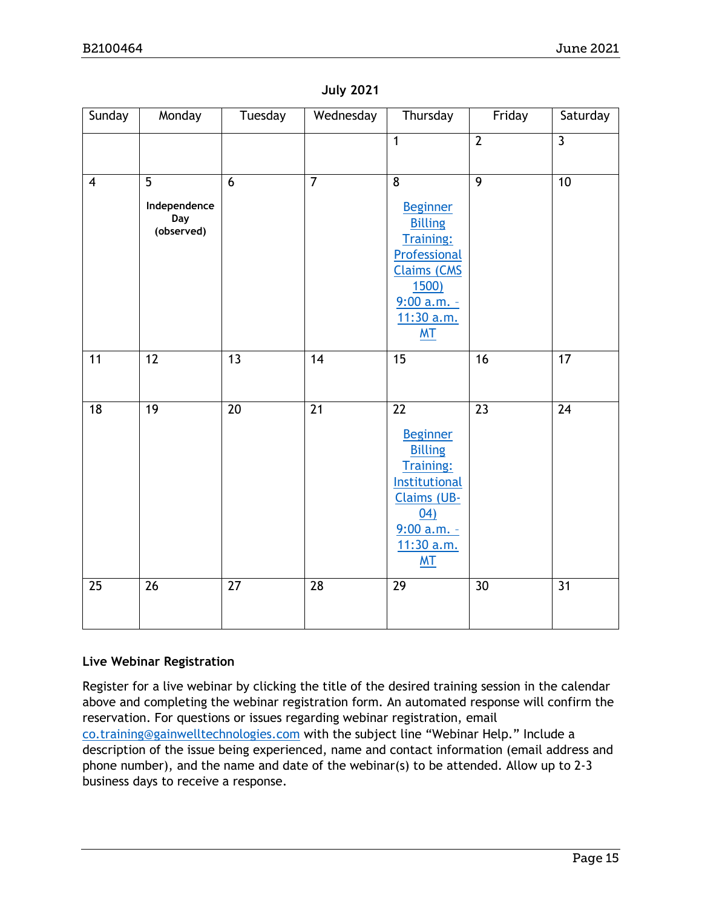| Sunday                  | Monday                                              | Tuesday | Wednesday       | Thursday                                                                                                                                                    | Friday          | Saturday        |
|-------------------------|-----------------------------------------------------|---------|-----------------|-------------------------------------------------------------------------------------------------------------------------------------------------------------|-----------------|-----------------|
|                         |                                                     |         |                 | $\mathbf{1}$                                                                                                                                                | $\overline{2}$  | $\overline{3}$  |
| $\overline{\mathbf{4}}$ | $\overline{5}$<br>Independence<br>Day<br>(observed) | 6       | $\overline{7}$  | $\overline{8}$<br><b>Beginner</b><br><b>Billing</b><br>Training:<br>Professional<br><b>Claims (CMS</b><br><u>1500)</u><br>$9:00 a.m. -$<br>11:30 a.m.<br>MT | $\overline{9}$  | 10              |
| 11                      | $\overline{12}$                                     | 13      | 14              | 15                                                                                                                                                          | 16              | 17              |
| 18                      | $\overline{19}$                                     | 20      | $\overline{21}$ | 22<br><b>Beginner</b><br><b>Billing</b><br><b>Training:</b><br>Institutional<br><b>Claims (UB-</b><br>(04)<br>$9:00$ a.m. -<br>11:30 a.m.<br><b>MT</b>      | $\overline{23}$ | $\overline{24}$ |
| 25                      | 26                                                  | 27      | $\overline{28}$ | $\overline{29}$                                                                                                                                             | $\overline{30}$ | $\overline{31}$ |

#### **July 2021**

#### **Live Webinar Registration**

Register for a live webinar by clicking the title of the desired training session in the calendar above and completing the webinar registration form. An automated response will confirm the reservation. For questions or issues regarding webinar registration, email [co.training@gainwelltechnologies.com](mailto:co.training@gainwelltechnologies.com) with the subject line "Webinar Help." Include a description of the issue being experienced, name and contact information (email address and phone number), and the name and date of the webinar(s) to be attended. Allow up to 2-3 business days to receive a response.